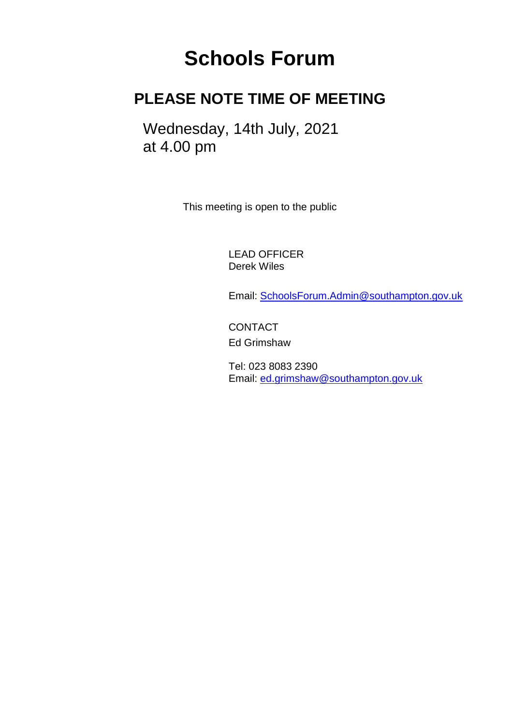# **Schools Forum**

# **PLEASE NOTE TIME OF MEETING**

Wednesday, 14th July, 2021 at 4.00 pm

This meeting is open to the public

LEAD OFFICER Derek Wiles

Email: [SchoolsForum.Admin@southampton.gov.uk](mailto:SchoolsForum.Admin@southampton.gov.uk)

**CONTACT** Ed Grimshaw

Tel: 023 8083 2390 Email: [ed.grimshaw@southampton.gov.uk](mailto:SchoolsForum.Admin@southampton.gov.uk)